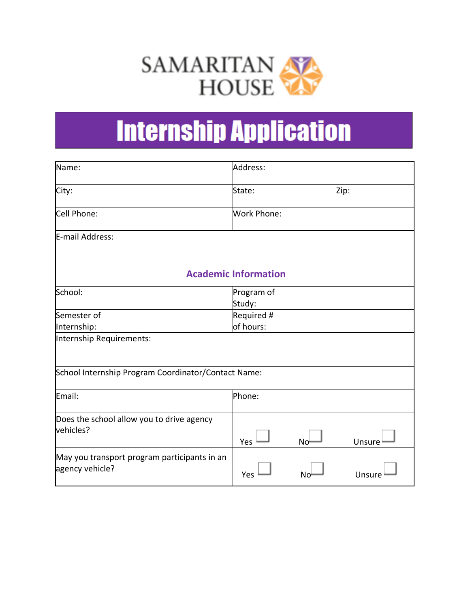

# **Internship Application**

| Name:                                                           | Address:             |    |        |  |
|-----------------------------------------------------------------|----------------------|----|--------|--|
| City:                                                           | State:               |    | Zip:   |  |
| Cell Phone:                                                     | <b>Work Phone:</b>   |    |        |  |
| E-mail Address:                                                 |                      |    |        |  |
| <b>Academic Information</b>                                     |                      |    |        |  |
| School:                                                         | Program of<br>Study: |    |        |  |
| Semester of                                                     | Required #           |    |        |  |
| Internship:                                                     | of hours:            |    |        |  |
| Internship Requirements:                                        |                      |    |        |  |
| School Internship Program Coordinator/Contact Name:             |                      |    |        |  |
| Email:                                                          | Phone:               |    |        |  |
| Does the school allow you to drive agency<br>vehicles?          | Yes                  | No | Unsure |  |
| May you transport program participants in an<br>agency vehicle? | Yes                  | Nc | Unsur  |  |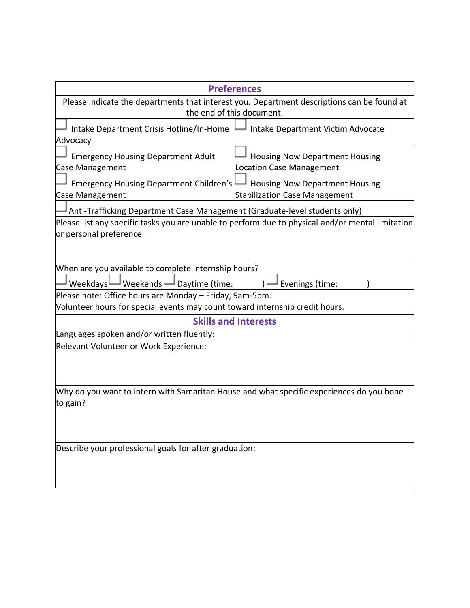| <b>Preferences</b>                                                                                                                                                                                         |                                                                               |  |  |  |
|------------------------------------------------------------------------------------------------------------------------------------------------------------------------------------------------------------|-------------------------------------------------------------------------------|--|--|--|
| Please indicate the departments that interest you. Department descriptions can be found at<br>the end of this document.                                                                                    |                                                                               |  |  |  |
| Intake Department Crisis Hotline/In-Home<br>Advocacy                                                                                                                                                       | Intake Department Victim Advocate                                             |  |  |  |
| <b>Emergency Housing Department Adult</b><br>Case Management                                                                                                                                               | <b>Housing Now Department Housing</b><br>Location Case Management             |  |  |  |
| <b>Emergency Housing Department Children's</b><br><b>Case Management</b>                                                                                                                                   | <b>Housing Now Department Housing</b><br><b>Stabilization Case Management</b> |  |  |  |
| Anti-Trafficking Department Case Management (Graduate-level students only)<br>Please list any specific tasks you are unable to perform due to physical and/or mental limitation<br>or personal preference: |                                                                               |  |  |  |
| When are you available to complete internship hours?<br>Weekdays $\Box$ Weekends $\Box$ Daytime (time:<br>Evenings (time:                                                                                  |                                                                               |  |  |  |
| Please note: Office hours are Monday - Friday, 9am-5pm.<br>Volunteer hours for special events may count toward internship credit hours.                                                                    |                                                                               |  |  |  |
| <b>Skills and Interests</b>                                                                                                                                                                                |                                                                               |  |  |  |
| Languages spoken and/or written fluently:                                                                                                                                                                  |                                                                               |  |  |  |
| Relevant Volunteer or Work Experience:                                                                                                                                                                     |                                                                               |  |  |  |
| Why do you want to intern with Samaritan House and what specific experiences do you hope<br>to gain?                                                                                                       |                                                                               |  |  |  |
| Describe your professional goals for after graduation:                                                                                                                                                     |                                                                               |  |  |  |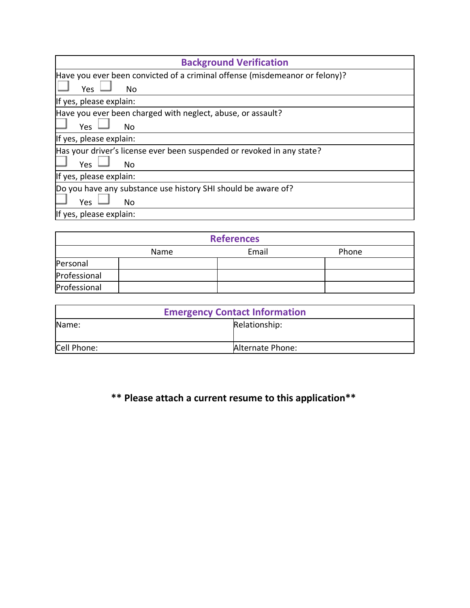| <b>Background Verification</b>                                              |  |  |
|-----------------------------------------------------------------------------|--|--|
| Have you ever been convicted of a criminal offense (misdemeanor or felony)? |  |  |
| Yes<br><b>No</b>                                                            |  |  |
| If yes, please explain:                                                     |  |  |
| Have you ever been charged with neglect, abuse, or assault?                 |  |  |
| Yes<br>No                                                                   |  |  |
| If yes, please explain:                                                     |  |  |
| Has your driver's license ever been suspended or revoked in any state?      |  |  |
| <b>Yes</b><br>No.                                                           |  |  |
| If yes, please explain:                                                     |  |  |
| Do you have any substance use history SHI should be aware of?               |  |  |
| Yes<br>No                                                                   |  |  |
| If yes, please explain:                                                     |  |  |

| <b>References</b> |      |       |       |  |  |
|-------------------|------|-------|-------|--|--|
|                   | Name | Email | Phone |  |  |
| Personal          |      |       |       |  |  |
| Professional      |      |       |       |  |  |
| Professional      |      |       |       |  |  |

| <b>Emergency Contact Information</b> |                  |  |
|--------------------------------------|------------------|--|
| lName:                               | Relationship:    |  |
| Cell Phone:                          | Alternate Phone: |  |

## **\*\* Please attach a current resume to this application\*\***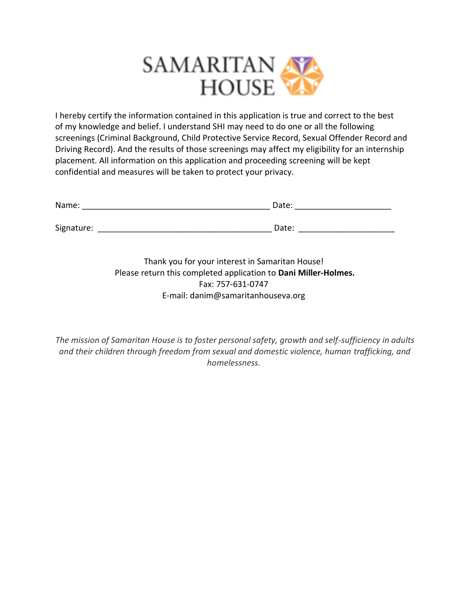

I hereby certify the information contained in this application is true and correct to the best of my knowledge and belief. I understand SHI may need to do one or all the following screenings (Criminal Background, Child Protective Service Record, Sexual Offender Record and Driving Record). And the results of those screenings may affect my eligibility for an internship placement. All information on this application and proceeding screening will be kept confidential and measures will be taken to protect your privacy.

| Name:      | Date: |  |
|------------|-------|--|
| Signature: | Date: |  |
|            |       |  |

Thank you for your interest in Samaritan House! Please return this completed application to **Dani Miller-Holmes.** Fax: 757-631-0747 E-mail: danim@samaritanhouseva.org

*The mission of Samaritan House is to foster personal safety, growth and self-sufficiency in adults and their children through freedom from sexual and domestic violence, human trafficking, and homelessness.*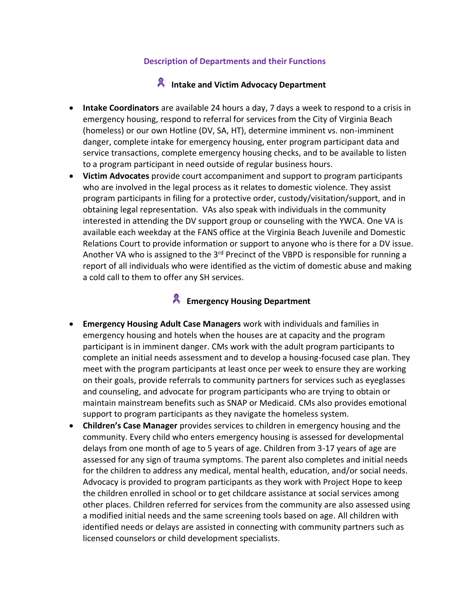#### **Description of Departments and their Functions**

#### **A** Intake and Victim Advocacy Department

- **Intake Coordinators** are available 24 hours a day, 7 days a week to respond to a crisis in emergency housing, respond to referral for services from the City of Virginia Beach (homeless) or our own Hotline (DV, SA, HT), determine imminent vs. non-imminent danger, complete intake for emergency housing, enter program participant data and service transactions, complete emergency housing checks, and to be available to listen to a program participant in need outside of regular business hours.
- **Victim Advocates** provide court accompaniment and support to program participants who are involved in the legal process as it relates to domestic violence. They assist program participants in filing for a protective order, custody/visitation/support, and in obtaining legal representation.  VAs also speak with individuals in the community interested in attending the DV support group or counseling with the YWCA. One VA is available each weekday at the FANS office at the Virginia Beach Juvenile and Domestic Relations Court to provide information or support to anyone who is there for a DV issue. Another VA who is assigned to the 3<sup>rd</sup> Precinct of the VBPD is responsible for running a report of all individuals who were identified as the victim of domestic abuse and making a cold call to them to offer any SH services.

#### **A** Emergency Housing Department

- **Emergency Housing Adult Case Managers** work with individuals and families in emergency housing and hotels when the houses are at capacity and the program participant is in imminent danger. CMs work with the adult program participants to complete an initial needs assessment and to develop a housing-focused case plan. They meet with the program participants at least once per week to ensure they are working on their goals, provide referrals to community partners for services such as eyeglasses and counseling, and advocate for program participants who are trying to obtain or maintain mainstream benefits such as SNAP or Medicaid. CMs also provides emotional support to program participants as they navigate the homeless system.
- **Children's Case Manager** provides services to children in emergency housing and the community. Every child who enters emergency housing is assessed for developmental delays from one month of age to 5 years of age. Children from 3-17 years of age are assessed for any sign of trauma symptoms. The parent also completes and initial needs for the children to address any medical, mental health, education, and/or social needs.  Advocacy is provided to program participants as they work with Project Hope to keep the children enrolled in school or to get childcare assistance at social services among other places. Children referred for services from the community are also assessed using a modified initial needs and the same screening tools based on age. All children with identified needs or delays are assisted in connecting with community partners such as licensed counselors or child development specialists.